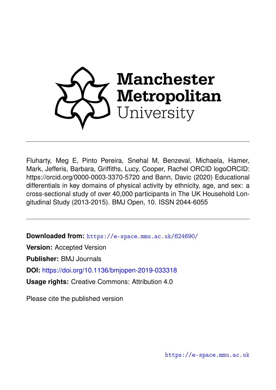

Fluharty, Meg E, Pinto Pereira, Snehal M, Benzeval, Michaela, Hamer, Mark, Jefferis, Barbara, Griffiths, Lucy, Cooper, Rachel ORCID logoORCID: https://orcid.org/0000-0003-3370-5720 and Bann, Davic (2020) Educational differentials in key domains of physical activity by ethnicity, age, and sex: a cross-sectional study of over 40,000 participants in The UK Household Longitudinal Study (2013-2015). BMJ Open, 10. ISSN 2044-6055

**Downloaded from:** <https://e-space.mmu.ac.uk/624690/>

**Version:** Accepted Version

**Publisher:** BMJ Journals

**DOI:** <https://doi.org/10.1136/bmjopen-2019-033318>

**Usage rights:** Creative Commons: Attribution 4.0

Please cite the published version

<https://e-space.mmu.ac.uk>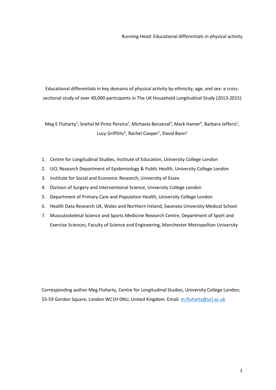Educational differentials in key domains of physical activity by ethnicity, age, and sex: a crosssectional study of over 40,000 participants in The UK Household Longitudinal Study (2013-2015)

Meg E Fluharty<sup>1</sup>, Snehal M Pinto Pereira<sup>2</sup>, Michaela Benzeval<sup>3</sup>, Mark Hamer<sup>4</sup>, Barbara Jefferis<sup>5</sup>, Lucy Griffiths<sup>6</sup>, Rachel Cooper<sup>7</sup>, David Bann<sup>1</sup>

- 1. Centre for Longitudinal Studies, Institute of Education, University College London
- 2. UCL Research Department of Epidemiology & Public Health, University College London
- 3. Institute for Social and Economic Research, University of Essex
- 4. Division of Surgery and Interventional Science, University College London
- 5. Department of Primary Care and Population Health, University College London
- 6. Health Data Research UK, Wales and Northern Ireland, Swansea University Medical School
- 7. Musculoskeletal Science and Sports Medicine Research Centre, Department of Sport and Exercise Sciences, Faculty of Science and Engineering, Manchester Metropolitan University

Corresponding author Meg Fluharty, Centre for Longitudinal Studies, University College London, 55-59 Gordon Square, London WC1H 0NU, United Kingdom. Email: [m.fluharty@ucl.ac.uk](mailto:m.fluharty@ucl.ac.uk)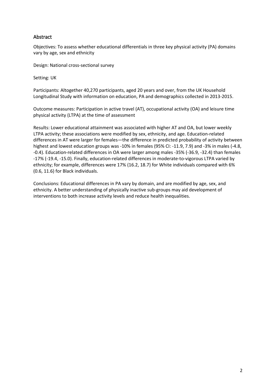# **Abstract**

Objectives: To assess whether educational differentials in three key physical activity (PA) domains vary by age, sex and ethnicity

Design: National cross-sectional survey

Setting: UK

Participants: Altogether 40,270 participants, aged 20 years and over, from the UK Household Longitudinal Study with information on education, PA and demographics collected in 2013-2015.

Outcome measures: Participation in active travel (AT), occupational activity (OA) and leisure time physical activity (LTPA) at the time of assessment

Results: Lower educational attainment was associated with higher AT and OA, but lower weekly LTPA activity; these associations were modified by sex, ethnicity, and age. Education-related differences in AT were larger for females—the difference in predicted probability of activity between highest and lowest education groups was -10% in females (95% CI: -11.9, 7.9) and -3% in males (-4.8, -0.4). Education-related differences in OA were larger among males -35% (-36.9, -32.4) than females -17% (-19.4, -15.0). Finally, education-related differences in moderate-to-vigorous LTPA varied by ethnicity; for example, differences were 17% (16.2, 18.7) for White individuals compared with 6% (0.6, 11.6) for Black individuals.

Conclusions: Educational differences in PA vary by domain, and are modified by age, sex, and ethnicity. A better understanding of physically inactive sub-groups may aid development of interventions to both increase activity levels and reduce health inequalities.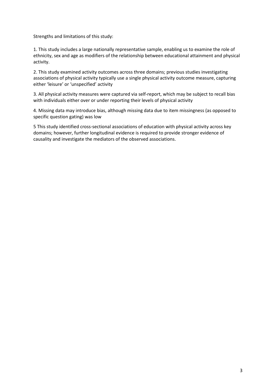Strengths and limitations of this study:

1. This study includes a large nationally representative sample, enabling us to examine the role of ethnicity, sex and age as modifiers of the relationship between educational attainment and physical activity.

2. This study examined activity outcomes across three domains; previous studies investigating associations of physical activity typically use a single physical activity outcome measure, capturing either 'leisure' or 'unspecified' activity

3. All physical activity measures were captured via self-report, which may be subject to recall bias with individuals either over or under reporting their levels of physical activity

4. Missing data may introduce bias, although missing data due to item missingness (as opposed to specific question gating) was low

5 This study identified cross-sectional associations of education with physical activity across key domains; however, further longitudinal evidence is required to provide stronger evidence of causality and investigate the mediators of the observed associations.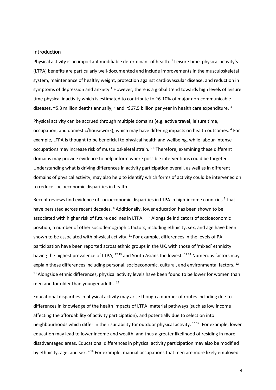### Introduction

Physical activity is an important modifiable determinant of health. <sup>1</sup> Leisure time physical activity's (LTPA) benefits are particularly well-documented and include improvements in the musculoskeletal system, maintenance of healthy weight, protection against cardiovascular disease, and reduction in symptoms of depression and anxiety.<sup>1</sup> However, there is a global trend towards high levels of leisure time physical inactivity which is estimated to contribute to ~6-10% of major non-communicable diseases,  $\degree$ 5.3 million deaths annually,  $^2$  and  $\degree$ \$67.5 billion per year in health care expenditure. <sup>3</sup>

Physical activity can be accrued through multiple domains (e.g. active travel, leisure time, occupation, and domestic/housework), which may have differing impacts on health outcomes. <sup>4</sup> For example, LTPA is thought to be beneficial to physical health and wellbeing, while labour-intense occupations may increase risk of musculoskeletal strain.<sup>56</sup> Therefore, examining these different domains may provide evidence to help inform where possible interventions could be targeted. Understanding what is driving differences in activity participation overall, as well as in different domains of physical activity, may also help to identify which forms of activity could be intervened on to reduce socioeconomic disparities in health.

Recent reviews find evidence of socioeconomic disparities in LTPA in high-income countries<sup>7</sup> that have persisted across recent decades. <sup>8</sup> Additionally, lower education has been shown to be associated with higher risk of future declines in LTPA. <sup>910</sup> Alongside indicators of socioeconomic position, a number of other sociodemographic factors, including ethnicity, sex, and age have been shown to be associated with physical activity.  $11$  For example, differences in the levels of PA participation have been reported across ethnic groups in the UK, with those of 'mixed' ethnicity having the highest prevalence of LTPA, <sup>12 13</sup> and South Asians the lowest. <sup>13 14</sup> Numerous factors may explain these differences including personal, socioeconomic, cultural, and environmental factors.<sup>12</sup> <sup>13</sup> Alongside ethnic differences, physical activity levels have been found to be lower for women than men and for older than younger adults.<sup>15</sup>

Educational disparities in physical activity may arise though a number of routes including due to differences in knowledge of the health impacts of LTPA, material pathways (such as low income affecting the affordability of activity participation), and potentially due to selection into neighbourhoods which differ in their suitability for outdoor physical activity. <sup>1617</sup> For example, lower education may lead to lower income and wealth, and thus a greater likelihood of residing in more disadvantaged areas. Educational differences in physical activity participation may also be modified by ethnicity, age, and sex. 4 18 For example, manual occupations that men are more likely employed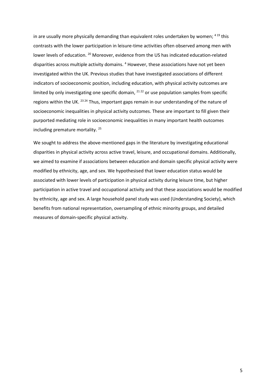in are usually more physically demanding than equivalent roles undertaken by women;  $419$  this contrasts with the lower participation in leisure-time activities often observed among men with lower levels of education. <sup>20</sup> Moreover, evidence from the US has indicated education-related disparities across multiple activity domains.<sup>4</sup> However, these associations have not yet been investigated within the UK. Previous studies that have investigated associations of different indicators of socioeconomic position, including education, with physical activity outcomes are limited by only investigating one specific domain,  $2122$  or use population samples from specific regions within the UK. 23 24 Thus, important gaps remain in our understanding of the nature of socioeconomic inequalities in physical activity outcomes. These are important to fill given their purported mediating role in socioeconomic inequalities in many important health outcomes including premature mortality. <sup>25</sup>

We sought to address the above-mentioned gaps in the literature by investigating educational disparities in physical activity across active travel, leisure, and occupational domains. Additionally, we aimed to examine if associations between education and domain specific physical activity were modified by ethnicity, age, and sex. We hypothesised that lower education status would be associated with lower levels of participation in physical activity during leisure time, but higher participation in active travel and occupational activity and that these associations would be modified by ethnicity, age and sex. A large household panel study was used (Understanding Society), which benefits from national representation, oversampling of ethnic minority groups, and detailed measures of domain-specific physical activity.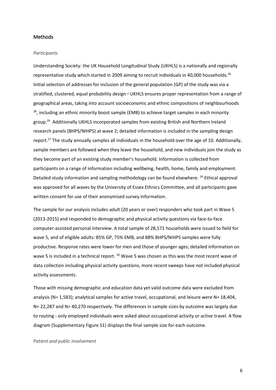### Methods

#### *Participants*

Understanding Society: the UK Household Longitudinal Study (UKHLS) is a nationally and regionally representative study which started in 2009 aiming to recruit individuals in 40,000 households.<sup>26</sup> Initial selection of addresses for inclusion of the general population (GP) of the study was via a stratified, clustered, equal probability design.<sup>27</sup> UKHLS ensures proper representation from a range of geographical areas, taking into account socioeconomic and ethnic compositions of neighbourhoods  $28$ , including an ethnic minority boost sample (EMB) to achieve target samples in each minority group. 29 Additionally UKHLS incorporated samples from existing British and Northern Ireland research panels (BHPS/NIHPS) at wave 2; detailed information is included in the sampling design report.27 The study annually samples all individuals in the household over the age of 10. Additionally, sample members are followed when they leave the household, and new individuals join the study as they become part of an existing study member's household. Information is collected from participants on a range of information including wellbeing, health, home, family and employment. Detailed study information and sampling methodology can be found elsewhere. <sup>26</sup> Ethical approval was approved for all waves by the University of Essex Ethnics Committee, and all participants gave written consent for use of their anonymised survey information.

The sample for our analysis includes adult (20 years or over) responders who took part in Wave 5 (2013-2015) and responded to demographic and physical activity questions via face-to-face computer-assisted personal interview. A total sample of 28,571 households were issued to field for wave 5, and of eligible adults: 85% GP, 75% EMB, and 88% BHPS/NIHPS samples were fully productive. Response rates were lower for men and those of younger ages; detailed information on wave 5 is included in a technical report. <sup>30</sup> Wave 5 was chosen as this was the most recent wave of data collection including physical activity questions, more recent sweeps have not included physical activity assessments.

Those with missing demographic and education data yet valid outcome data were excluded from analysis (N= 1,583); analytical samples for active travel, occupational, and leisure were N= 18,404, N= 22,287 and N= 40,270 respectively. The differences in sample sizes by outcome was largely due to routing - only employed individuals were asked about occupational activity or active travel. A flow diagram (Supplementary Figure S1) displays the final sample size for each outcome.

#### *Patient and public involvement*

6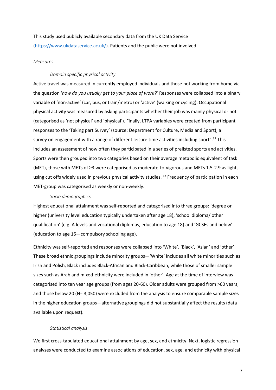This study used publicly available secondary data from the UK Data Service [\(https://www.ukdataservice.ac.uk/\)](https://www.ukdataservice.ac.uk/). Patients and the public were not involved.

#### *Measures*

### *Domain specific physical activity*

Active travel was measured in currently employed individuals and those not working from home via the question '*how do you usually get to your place of work?'* Responses were collapsed into a binary variable of 'non-active' (car, bus, or train/metro) or 'active' (walking or cycling). Occupational physical activity was measured by asking participants whether their job was mainly physical or not (categorised as 'not physical' and 'physical'). Finally, LTPA variables were created from participant responses to the 'Taking part Survey' (source: Department for Culture, Media and Sport), a survey on engagement with a range of different leisure time activities including sport".<sup>31</sup> This includes an assessment of how often they participated in a series of prelisted sports and activities. Sports were then grouped into two categories based on their average metabolic equivalent of task (MET), those with METs of ≥3 were categorised as moderate-to-vigorous and METs 1.5-2.9 as light, using cut offs widely used in previous physical activity studies. <sup>32</sup> Frequency of participation in each MET-group was categorised as weekly or non-weekly.

#### *Socio demographics*

Highest educational attainment was self-reported and categorised into three groups: 'degree or higher (university level education typically undertaken after age 18), 'school diploma/ other qualification' (e.g. A levels and vocational diplomas, education to age 18) and 'GCSEs and below' (education to age 16—compulsory schooling age).

Ethnicity was self-reported and responses were collapsed into 'White', 'Black', 'Asian' and 'other' . These broad ethnic groupings include minority groups—'White' includes all white minorities such as Irish and Polish, Black includes Black-African and Black-Caribbean, while those of smaller sample sizes such as Arab and mixed-ethnicity were included in 'other'. Age at the time of interview was categorised into ten year age groups (from ages 20-60). Older adults were grouped from >60 years, and those below 20 (N= 3,050) were excluded from the analysis to ensure comparable sample sizes in the higher education groups—alternative groupings did not substantially affect the results (data available upon request).

### *Statistical analysis*

We first cross-tabulated educational attainment by age, sex, and ethnicity. Next, logistic regression analyses were conducted to examine associations of education, sex, age, and ethnicity with physical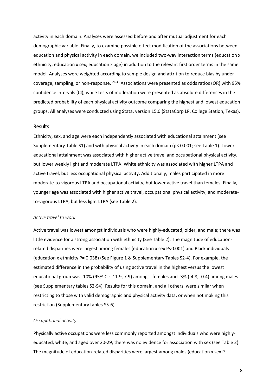activity in each domain. Analyses were assessed before and after mutual adjustment for each demographic variable. Finally, to examine possible effect modification of the associations between education and physical activity in each domain, we included two-way interaction terms (education x ethnicity; education x sex; education x age) in addition to the relevant first order terms in the same model. Analyses were weighted according to sample design and attrition to reduce bias by undercoverage, sampling, or non-response. <sup>26 33</sup> Associations were presented as odds ratios (OR) with 95% confidence intervals (CI), while tests of moderation were presented as absolute differences in the predicted probability of each physical activity outcome comparing the highest and lowest education groups. All analyses were conducted using Stata, version 15.0 (StataCorp LP, College Station, Texas).

### Results

Ethnicity, sex, and age were each independently associated with educational attainment (see Supplementary Table S1) and with physical activity in each domain (p< 0.001; see Table 1). Lower educational attainment was associated with higher active travel and occupational physical activity, but lower weekly light and moderate LTPA. White ethnicity was associated with higher LTPA and active travel, but less occupational physical activity. Additionally, males participated in more moderate-to-vigorous LTPA and occupational activity, but lower active travel than females. Finally, younger age was associated with higher active travel, occupational physical activity, and moderateto-vigorous LTPA, but less light LTPA (see Table 2).

#### *Active travel to work*

Active travel was lowest amongst individuals who were highly-educated, older, and male; there was little evidence for a strong association with ethnicity (See Table 2). The magnitude of educationrelated disparities were largest among females (education x sex P<0.001) and Black individuals (education x ethnicity P= 0.038) (See Figure 1 & Supplementary Tables S2-4). For example, the estimated difference in the probability of using active travel in the highest versus the lowest educational group was -10% (95% CI: -11.9, 7.9) amongst females and -3% (-4.8, -0.4) among males (see Supplementary tables S2-S4)*.* Results for this domain, and all others, were similar when restricting to those with valid demographic and physical activity data, or when not making this restriction (Supplementary tables S5-6).

#### *Occupational activity*

Physically active occupations were less commonly reported amongst individuals who were highlyeducated, white, and aged over 20-29; there was no evidence for association with sex (see Table 2). The magnitude of education-related disparities were largest among males (education x sex P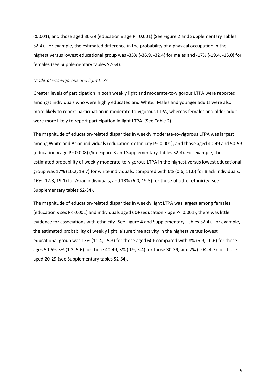<0.001), and those aged 30-39 (education x age P= 0.001) (See Figure 2 and Supplementary Tables S2-4). For example, the estimated difference in the probability of a physical occupation in the highest versus lowest educational group was -35% (-36.9, -32.4) for males and -17% (-19.4, -15.0) for females (see Supplementary tables S2-S4).

### *Moderate-to-vigorous and light LTPA*

Greater levels of participation in both weekly light and moderate-to-vigorous LTPA were reported amongst individuals who were highly educated and White. Males and younger adults were also more likely to report participation in moderate-to-vigorous LTPA, whereas females and older adult were more likely to report participation in light LTPA. (See Table 2).

The magnitude of education-related disparities in weekly moderate-to-vigorous LTPA was largest among White and Asian individuals (education x ethnicity P= 0.001), and those aged 40-49 and 50-59 (education x age P= 0.008) (See Figure 3 and Supplementary Tables S2-4). For example, the estimated probability of weekly moderate-to-vigorous LTPA in the highest versus lowest educational group was 17% (16.2, 18.7) for white individuals, compared with 6% (0.6, 11.6) for Black individuals, 16% (12.8, 19.1) for Asian individuals, and 13% (6.0, 19.5) for those of other ethnicity (see Supplementary tables S2-S4).

The magnitude of education-related disparities in weekly light LTPA was largest among females (education x sex P< 0.001) and individuals aged 60+ (education x age P< 0.001); there was little evidence for associations with ethnicity (See Figure 4 and Supplementary Tables S2-4). For example, the estimated probability of weekly light leisure time activity in the highest versus lowest educational group was 13% (11.4, 15.3) for those aged 60+ compared with 8% (5.9, 10.6) for those ages 50-59, 3% (1.3, 5.6) for those 40-49, 3% (0.9, 5.4) for those 30-39, and 2% (-.04, 4.7) for those aged 20-29 (see Supplementary tables S2-S4).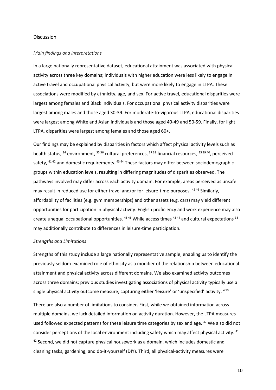# **Discussion**

#### *Main findings and interpretations*

In a large nationally representative dataset, educational attainment was associated with physical activity across three key domains; individuals with higher education were less likely to engage in active travel and occupational physical activity, but were more likely to engage in LTPA. These associations were modified by ethnicity, age, and sex. For active travel, educational disparities were largest among females and Black individuals. For occupational physical activity disparities were largest among males and those aged 30-39. For moderate-to-vigorous LTPA, educational disparities were largest among White and Asian individuals and those aged 40-49 and 50-59. Finally, for light LTPA, disparities were largest among females and those aged 60+.

Our findings may be explained by disparities in factors which affect physical activity levels such as health status, <sup>34</sup> environment, <sup>35 36</sup> cultural preferences, <sup>37 38</sup> financial resources, <sup>25 39 40</sup>, perceived safety,  $4142$  and domestic requirements.  $4344$  These factors may differ between sociodemographic groups within education levels, resulting in differing magnitudes of disparities observed. The pathways involved may differ across each activity domain. For example, areas perceived as unsafe may result in reduced use for either travel and/or for leisure-time purposes. <sup>45 46</sup> Similarly, affordability of facilities (e.g. gym memberships) and other assets (e.g. cars) may yield different opportunities for participation in physical activity. English proficiency and work experience may also create unequal occupational opportunities. <sup>45 46</sup> While access times <sup>43 44</sup> and cultural expectations <sup>38</sup> may additionally contribute to differences in leisure-time participation.

#### *Strengths and Limitations*

Strengths of this study include a large nationally representative sample, enabling us to identify the previously seldom-examined role of ethnicity as a modifier of the relationship between educational attainment and physical activity across different domains. We also examined activity outcomes across three domains; previous studies investigating associations of physical activity typically use a single physical activity outcome measure, capturing either 'leisure' or 'unspecified' activity. <sup>410</sup>

There are also a number of limitations to consider. First, while we obtained information across multiple domains, we lack detailed information on activity duration. However, the LTPA measures used followed expected patterns for these leisure time categories by sex and age. <sup>47</sup> We also did not consider perceptions of the local environment including safety which may affect physical activity. <sup>41</sup>  $42$  Second, we did not capture physical housework as a domain, which includes domestic and cleaning tasks, gardening, and do-it-yourself (DIY). Third, all physical-activity measures were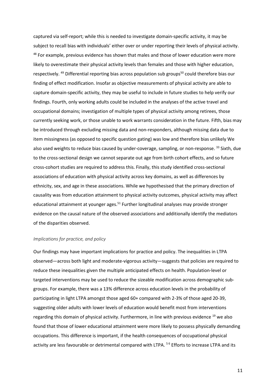captured via self-report; while this is needed to investigate domain-specific activity, it may be subject to recall bias with individuals' either over or under reporting their levels of physical activity. <sup>48</sup> For example, previous evidence has shown that males and those of lower education were more likely to overestimate their physical activity levels than females and those with higher education, respectively. <sup>49</sup> Differential reporting bias across population sub groups<sup>50</sup> could therefore bias our finding of effect modification. Insofar as objective measurements of physical activity are able to capture domain-specific activity, they may be useful to include in future studies to help verify our findings. Fourth, only working adults could be included in the analyses of the active travel and occupational domains; investigation of multiple types of physical activity among retirees, those currently seeking work, or those unable to work warrants consideration in the future. Fifth, bias may be introduced through excluding missing data and non-responders, although missing data due to item missingness (as opposed to specific question gating) was low and therefore bias unlikely We also used weights to reduce bias caused by under-coverage, sampling, or non-response. 33 Sixth, due to the cross-sectional design we cannot separate out age from birth cohort effects, and so future cross-cohort studies are required to address this. Finally, this study identified cross-sectional associations of education with physical activity across key domains, as well as differences by ethnicity, sex, and age in these associations. While we hypothesised that the primary direction of causality was from education attainment to physical activity outcomes, physical activity may affect educational attainment at younger ages.<sup>51</sup> Further longitudinal analyses may provide stronger evidence on the causal nature of the observed associations and additionally identify the mediators of the disparities observed.

#### *Implications for practice, and policy*

Our findings may have important implications for practice and policy. The inequalities in LTPA observed—across both light and moderate-vigorous activity—suggests that policies are required to reduce these inequalities given the multiple anticipated effects on health. Population-level or targeted interventions may be used to reduce the sizeable modification across demographic subgroups. For example, there was a 13% difference across education levels in the probability of participating in light LTPA amongst those aged 60+ compared with 2-3% of those aged 20-39, suggesting older adults with lower levels of education would benefit most from interventions regarding this domain of physical activity. Furthermore, in line with previous evidence <sup>19</sup> we also found that those of lower educational attainment were more likely to possess physically demanding occupations. This difference is important, if the health consequences of occupational physical activity are less favourable or detrimental compared with LTPA. <sup>56</sup> Efforts to increase LTPA and its

11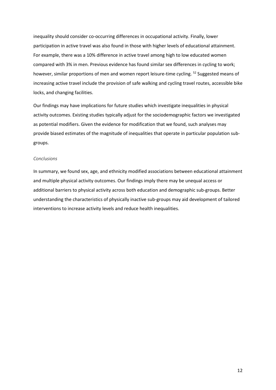inequality should consider co-occurring differences in occupational activity. Finally, lower participation in active travel was also found in those with higher levels of educational attainment. For example, there was a 10% difference in active travel among high to low educated women compared with 3% in men. Previous evidence has found similar sex differences in cycling to work; however, similar proportions of men and women report leisure-time cycling. <sup>52</sup> Suggested means of increasing active travel include the provision of safe walking and cycling travel routes, accessible bike locks, and changing facilities.

Our findings may have implications for future studies which investigate inequalities in physical activity outcomes. Existing studies typically adjust for the sociodemographic factors we investigated as potential modifiers. Given the evidence for modification that we found, such analyses may provide biased estimates of the magnitude of inequalities that operate in particular population subgroups.

### *Conclusions*

In summary, we found sex, age, and ethnicity modified associations between educational attainment and multiple physical activity outcomes. Our findings imply there may be unequal access or additional barriers to physical activity across both education and demographic sub-groups. Better understanding the characteristics of physically inactive sub-groups may aid development of tailored interventions to increase activity levels and reduce health inequalities.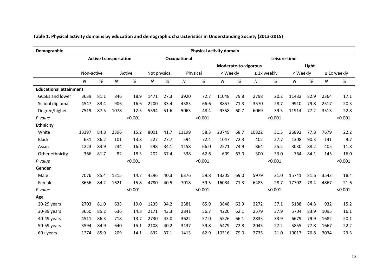| Demographic                   | Physical activity domain     |      |        |                      |                              |      |          |         |          |      |                  |         |                |      |                   |         |
|-------------------------------|------------------------------|------|--------|----------------------|------------------------------|------|----------|---------|----------|------|------------------|---------|----------------|------|-------------------|---------|
|                               | <b>Active transportation</b> |      |        |                      | Leisure-time<br>Occupational |      |          |         |          |      |                  |         |                |      |                   |         |
|                               |                              |      |        | Moderate-to-vigorous |                              |      |          |         |          |      |                  |         | Light          |      |                   |         |
|                               | Non-active                   |      | Active |                      | Not physical                 |      | Physical |         | < Weekly |      | $\geq$ 1x weekly |         | < Weekly       |      | $\geq 1$ x weekly |         |
|                               | N                            | %    | N      | %                    | N                            | $\%$ | N        | $\%$    | N        | %    | N                | %       | $\overline{N}$ | $\%$ | N                 | $\%$    |
| <b>Educational attainment</b> |                              |      |        |                      |                              |      |          |         |          |      |                  |         |                |      |                   |         |
| <b>GCSEs and lower</b>        | 3639                         | 81.1 | 846    | 18.9                 | 1471                         | 27.3 | 3920     | 72.7    | 11048    | 79.8 | 2798             | 20.2    | 11482          | 82.9 | 2364              | 17.1    |
| School diploma                | 4547                         | 83.4 | 906    | 16.6                 | 2200                         | 33.4 | 4383     | 66.6    | 8857     | 71.3 | 3570             | 28.7    | 9910           | 79.8 | 2517              | 20.3    |
| Degree/higher                 | 7519                         | 87.5 | 1078   | 12.5                 | 5394                         | 51.6 | 5063     | 48.4    | 9358     | 60.7 | 6069             | 39.3    | 11914          | 77.2 | 3513              | 22.8    |
| P value                       |                              |      |        | < 0.001              |                              |      |          | < 0.001 |          |      |                  | < 0.001 |                |      |                   | < 0.001 |
| <b>Ethnicity</b>              |                              |      |        |                      |                              |      |          |         |          |      |                  |         |                |      |                   |         |
| White                         | 13397                        | 84.8 | 2396   | 15.2                 | 8001                         | 41.7 | 11199    | 58.3    | 23749    | 68.7 | 10822            | 31.3    | 26892          | 77.8 | 7679              | 22.2    |
| <b>Black</b>                  | 631                          | 86.2 | 101    | 13.8                 | 227                          | 27.7 | 594      | 72.4    | 1047     | 72.3 | 402              | 27.7    | 1308           | 90.3 | 141               | 9.7     |
| Asian                         | 1223                         | 83.9 | 234    | 16.1                 | 598                          | 34.1 | 1158     | 66.0    | 2571     | 74.9 | 864              | 25.2    | 3030           | 88.2 | 405               | 11.8    |
| Other ethnicity               | 366                          | 81.7 | 82     | 18.3                 | 202                          | 37.4 | 338      | 62.6    | 609      | 67.0 | 300              | 33.0    | 764            | 84.1 | 145               | 16.0    |
| P value                       |                              |      |        | < 0.001              |                              |      |          | < 0.001 |          |      |                  | < 0.001 |                |      |                   | < 0.001 |
| Gender                        |                              |      |        |                      |                              |      |          |         |          |      |                  |         |                |      |                   |         |
| Male                          | 7076                         | 85.4 | 1215   | 14.7                 | 4296                         | 40.3 | 6376     | 59.8    | 13305    | 69.0 | 5979             | 31.0    | 15741          | 81.6 | 3543              | 18.4    |
| Female                        | 8656                         | 84.2 | 1621   | 15.8                 | 4780                         | 40.5 | 7018     | 59.5    | 16084    | 71.3 | 6485             | 28.7    | 17702          | 78.4 | 4867              | 21.6    |
| P value                       |                              |      |        | < 0.001              |                              |      |          | < 0.001 |          |      |                  | < 0.001 |                |      |                   | < 0.001 |
| Age                           |                              |      |        |                      |                              |      |          |         |          |      |                  |         |                |      |                   |         |
| 20-29 years                   | 2703                         | 81.0 | 633    | 19.0                 | 1235                         | 34.2 | 2381     | 65.9    | 3848     | 62.9 | 2272             | 37.1    | 5188           | 84.8 | 932               | 15.2    |
| 30-39 years                   | 3650                         | 85.2 | 636    | 14.8                 | 2171                         | 43.3 | 2841     | 56.7    | 4220     | 62.1 | 2579             | 37.9    | 5704           | 83.9 | 1095              | 16.1    |
| 40-49 years                   | 4511                         | 86.3 | 718    | 13.7                 | 2730                         | 43.0 | 3622     | 57.0    | 5526     | 66.1 | 2835             | 33.9    | 6679           | 79.9 | 1682              | 20.1    |
| 50-59 years                   | 3594                         | 84.9 | 640    | 15.1                 | 2108                         | 40.2 | 3137     | 59.8    | 5479     | 72.8 | 2043             | 27.2    | 5855           | 77.8 | 1667              | 22.2    |
| $60+$ years                   | 1274                         | 85.9 | 209    | 14.1                 | 832                          | 37.1 | 1413     | 62.9    | 10316    | 79.0 | 2735             | 21.0    | 10017          | 76.8 | 3034              | 23.3    |

**Table 1. Physical activity domains by education and demographic characteristics in Understanding Society (2013-2015)**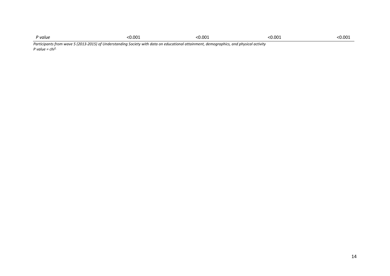| P value |        |          |       |       |
|---------|--------|----------|-------|-------|
|         | $\sim$ | .) በበ1   | 0.00> | 0.00٪ |
|         | .      | $\cdots$ | .     | .     |
|         | .<br>. | .        | .     |       |

*Participants from wave 5 (2013-2015) of Understanding Society with data on educational attainment, demographics, and physical activity P value = chi2,*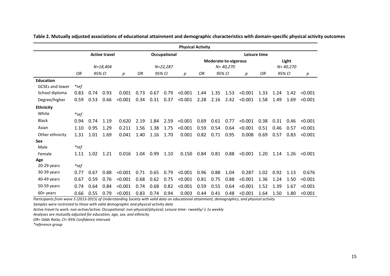|                        | <b>Physical Activity</b> |             |                      |         |              |      |      |         |                                      |      |      |         |                       |      |      |         |
|------------------------|--------------------------|-------------|----------------------|---------|--------------|------|------|---------|--------------------------------------|------|------|---------|-----------------------|------|------|---------|
|                        |                          |             | <b>Active travel</b> |         | Occupational |      |      |         | Leisure time                         |      |      |         |                       |      |      |         |
|                        | $N = 18,404$             |             |                      |         | N=22,287     |      |      |         | Moderate-to-vigorous<br>$N = 40,270$ |      |      |         | Light<br>$N = 40,270$ |      |      |         |
|                        | OR                       | 95% CI<br>р |                      | ΟR      | 95% CI       |      | р    | OR.     | 95% CI                               |      | р    | OR      | 95% CI                |      | р    |         |
| <b>Education</b>       |                          |             |                      |         |              |      |      |         |                                      |      |      |         |                       |      |      |         |
| <b>GCSEs and lower</b> | $*$ ref                  |             |                      |         |              |      |      |         |                                      |      |      |         |                       |      |      |         |
| School diploma         | 0.83                     | 0.74        | 0.93                 | 0.001   | 0.73         | 0.67 | 0.79 | < 0.001 | 1.44                                 | 1.35 | 1.53 | < 0.001 | 1.33                  | 1.24 | 1.42 | < 0.001 |
| Degree/higher          | 0.59                     | 0.53        | 0.66                 | < 0.001 | 0.34         | 0.31 | 0.37 | < 0.001 | 2.28                                 | 2.16 | 2.42 | < 0.001 | 1.58                  | 1.49 | 1.69 | < 0.001 |
| <b>Ethnicity</b>       |                          |             |                      |         |              |      |      |         |                                      |      |      |         |                       |      |      |         |
| White                  | $*_{ref}$                |             |                      |         |              |      |      |         |                                      |      |      |         |                       |      |      |         |
| <b>Black</b>           | 0.94                     | 0.74        | 1.19                 | 0.620   | 2.19         | 1.84 | 2.59 | < 0.001 | 0.69                                 | 0.61 | 0.77 | < 0.001 | 0.38                  | 0.31 | 0.46 | < 0.001 |
| Asian                  | 1.10                     | 0.95        | 1.29                 | 0.211   | 1.56         | 1.38 | 1.75 | < 0.001 | 0.59                                 | 0.54 | 0.64 | < 0.001 | 0.51                  | 0.46 | 0.57 | < 0.001 |
| Other ethnicity        | 1.31                     | 1.01        | 1.69                 | 0.041   | 1.40         | 1.16 | 1.70 | 0.001   | 0.82                                 | 0.71 | 0.95 | 0.008   | 0.69                  | 0.57 | 0.83 | < 0.001 |
| <b>Sex</b>             |                          |             |                      |         |              |      |      |         |                                      |      |      |         |                       |      |      |         |
| Male                   | $*$ ref                  |             |                      |         |              |      |      |         |                                      |      |      |         |                       |      |      |         |
| Female                 | 1.11                     | 1.02        | 1.21                 | 0.016   | 1.04         | 0.99 | 1.10 | 0.150   | 0.84                                 | 0.81 | 0.88 | < 0.001 | 1.20                  | 1.14 | 1.26 | < 0.001 |
| Age                    |                          |             |                      |         |              |      |      |         |                                      |      |      |         |                       |      |      |         |
| 20-29 years            | $*$ ref                  |             |                      |         |              |      |      |         |                                      |      |      |         |                       |      |      |         |
| 30-39 years            | 0.77                     | 0.67        | 0.88                 | < 0.001 | 0.71         | 0.65 | 0.79 | < 0.001 | 0.96                                 | 0.88 | 1.04 | 0.287   | 1.02                  | 0.92 | 1.13 | 0.676   |
| 40-49 years            | 0.67                     | 0.59        | 0.76                 | < 0.001 | 0.68         | 0.62 | 0.75 | < 0.001 | 0.81                                 | 0.75 | 0.88 | < 0.001 | 1.36                  | 1.24 | 1.50 | < 0.001 |
| 50-59 years            | 0.74                     | 0.64        | 0.84                 | < 0.001 | 0.74         | 0.68 | 0.82 | < 0.001 | 0.59                                 | 0.55 | 0.64 | < 0.001 | 1.52                  | 1.39 | 1.67 | < 0.001 |
| $60+$ years            | 0.66                     | 0.55        | 0.79                 | < 0.001 | 0.83         | 0.74 | 0.94 | 0.003   | 0.44                                 | 0.41 | 0.48 | < 0.001 | 1.64                  | 1.50 | 1.80 | < 0.001 |

**Table 2. Mutually adjusted associations of educational attainment and demographic characteristics with domain-specific physical activity outcomes** 

*Participants from wave 5 (2013-2015) of Understanding Society with valid data on educational attainment, demographics, and physical activity*

*Samples were restricted to those with valid demographic and physical activity data*

*Active travel to work: non-active/active; Occupational: non-physical/physical; Leisure-time: <weekly/ ≥ 1x weekly*

*Analyses are mutually adjusted for education, age, sex, and ethnicity*

*OR= Odds Ratio, CI= 95% Confidence intervals*

*\*reference group*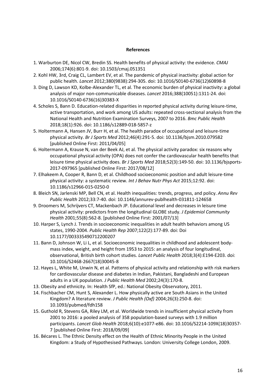# **References**

- 1. Warburton DE, Nicol CW, Bredin SS. Health benefits of physical activity: the evidence. *CMAJ* 2006;174(6):801-9. doi: 10.1503/cmaj.051351
- 2. Kohl HW, 3rd, Craig CL, Lambert EV, et al. The pandemic of physical inactivity: global action for public health. *Lancet* 2012;380(9838):294-305. doi: 10.1016/S0140-6736(12)60898-8
- 3. Ding D, Lawson KD, Kolbe-Alexander TL, et al. The economic burden of physical inactivity: a global analysis of major non-communicable diseases. *Lancet* 2016;388(10051):1311-24. doi: 10.1016/S0140-6736(16)30383-X
- 4. Scholes S, Bann D. Education-related disparities in reported physical activity during leisure-time, active transportation, and work among US adults: repeated cross-sectional analysis from the National Health and Nutrition Examination Surveys, 2007 to 2016. *Bmc Public Health* 2018;18(1):926. doi: 10.1186/s12889-018-5857-z
- 5. Holtermann A, Hansen JV, Burr H, et al. The health paradox of occupational and leisure-time physical activity. *Br J Sports Med* 2012;46(4):291-5. doi: 10.1136/bjsm.2010.079582 [published Online First: 2011/04/05]
- 6. Holtermann A, Krause N, van der Beek AJ, et al. The physical activity paradox: six reasons why occupational physical activity (OPA) does not confer the cardiovascular health benefits that leisure time physical activity does. *Br J Sports Med* 2018;52(3):149-50. doi: 10.1136/bjsports-2017-097965 [published Online First: 2017/08/12]
- 7. Elhakeem A, Cooper R, Bann D, et al. Childhood socioeconomic position and adult leisure-time physical activity: a systematic review. *Int J Behav Nutr Phys Act* 2015;12:92. doi: 10.1186/s12966-015-0250-0
- 8. Bleich SN, Jarlenski MP, Bell CN, et al. Health inequalities: trends, progress, and policy. *Annu Rev Public Health* 2012;33:7-40. doi: 10.1146/annurev-publhealth-031811-124658
- 9. Droomers M, Schrijvers CT, Mackenbach JP. Educational level and decreases in leisure time physical activity: predictors from the longitudinal GLOBE study. *J Epidemiol Community Health* 2001;55(8):562-8. [published Online First: 2001/07/13]
- 10. Harper S, Lynch J. Trends in socioeconomic inequalities in adult health behaviors among US states, 1990-2004. *Public Health Rep* 2007;122(2):177-89. doi: Doi 10.1177/003335490712200207
- 11. Bann D, Johnson W, Li L, et al. Socioeconomic inequalities in childhood and adolescent bodymass index, weight, and height from 1953 to 2015: an analysis of four longitudinal, observational, British birth cohort studies. *Lancet Public Health* 2018;3(4):E194-E203. doi: 10.1016/S2468-2667(18)30045-8
- 12. Hayes L, White M, Unwin N, et al. Patterns of physical activity and relationship with risk markers for cardiovascular disease and diabetes in Indian, Pakistani, Bangladeshi and European adults in a UK population. *J Public Health Med* 2002;24(3):170-8.
- 13. Obesity and ethnicity. In: Health SfP, ed.: National Obesity Observatory, 2011.
- 14. Fischbacher CM, Hunt S, Alexander L. How physically active are South Asians in the United Kingdom? A literature review. *J Public Health (Oxf)* 2004;26(3):250-8. doi: 10.1093/pubmed/fdh158
- 15. Guthold R, Stevens GA, Riley LM, et al. Worldwide trends in insufficient physical activity from 2001 to 2016: a pooled analysis of 358 population-based surveys with 1.9 million participants. *Lancet Glob Health* 2018;6(10):e1077-e86. doi: 10.1016/S2214-109X(18)30357- 7 [published Online First: 2018/09/09]
- 16. Bécares L. The Ethnic Density effect on the Health of Ethnic Minority People in the United Kingdom: a Study of Hypothesised Pathways. London: University College London, 2009.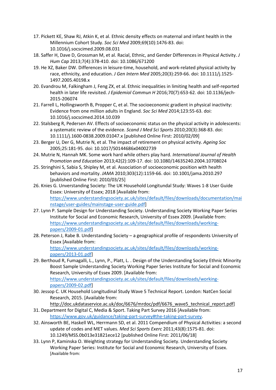- 17. Pickett KE, Shaw RJ, Atkin K, et al. Ethnic density effects on maternal and infant health in the Millennium Cohort Study. *Soc Sci Med* 2009;69(10):1476-83. doi: 10.1016/j.socscimed.2009.08.031
- 18. Saffer H, Dave D, Grossman M, et al. Racial, Ethnic, and Gender Differences in Physical Activity. *J Hum Cap* 2013;7(4):378-410. doi: 10.1086/671200
- 19. He XZ, Baker DW. Differences in leisure-time, household, and work-related physical activity by race, ethnicity, and education. *J Gen Intern Med* 2005;20(3):259-66. doi: 10.1111/j.1525- 1497.2005.40198.x
- 20. Evandrou M, Falkingham J, Feng ZX, et al. Ethnic inequalities in limiting health and self-reported health in later life revisited. *J Epidemiol Commun H* 2016;70(7):653-62. doi: 10.1136/jech-2015-206074
- 21. Farrell L, Hollingsworth B, Propper C, et al. The socioeconomic gradient in physical inactivity: Evidence from one million adults in England. *Soc Sci Med* 2014;123:55-63. doi: 10.1016/j.socscimed.2014.10.039
- 22. Stalsberg R, Pedersen AV. Effects of socioeconomic status on the physical activity in adolescents: a systematic review of the evidence. *Scand J Med Sci Sports* 2010;20(3):368-83. doi: 10.1111/j.1600-0838.2009.01047.x [published Online First: 2010/02/09]
- 23. Berger U, Der G, Mutrie N, et al. The impact of retirement on physical activity. *Ageing Soc* 2005;25:181-95. doi: 10.1017/S0144686x04002739
- 24. Mutrie N, Hannah MK. Some work hard while others play hard. *International Journal of Health Promotion and Education* 2013;42(2):109-17. doi: 10.1080/14635240.2004.10708024
- 25. Stringhini S, Sabia S, Shipley M, et al. Association of socioeconomic position with health behaviors and mortality. *JAMA* 2010;303(12):1159-66. doi: 10.1001/jama.2010.297 [published Online First: 2010/03/25]
- 26. Knies G. Unverstanding Society: The UK Household Longitundal Study: Waves 1-8 User Guide Essex: University of Essex; 2018 [Available from: [https://www.understandingsociety.ac.uk/sites/default/files/downloads/documentation/mai](https://www.understandingsociety.ac.uk/sites/default/files/downloads/documentation/mainstage/user-guides/mainstage-user-guide.pdf) [nstage/user-guides/mainstage-user-guide.pdf\]](https://www.understandingsociety.ac.uk/sites/default/files/downloads/documentation/mainstage/user-guides/mainstage-user-guide.pdf)
- 27. Lynn P. Sample Design for Understanding Society. Understanding Society Working Paper Series Institute for Social and Economic Research, University of Essex 2009. [Available from: [https://www.understandingsociety.ac.uk/sites/default/files/downloads/working](https://www.understandingsociety.ac.uk/sites/default/files/downloads/working-papers/2009-01.pdf)[papers/2009-01.pdf\]](https://www.understandingsociety.ac.uk/sites/default/files/downloads/working-papers/2009-01.pdf)
- 28. Peterson J, Rabe B. Understanding Society a geographical profile of respondents University of Essex [Available from:

[https://www.understandingsociety.ac.uk/sites/default/files/downloads/working](https://www.understandingsociety.ac.uk/sites/default/files/downloads/working-papers/2013-01.pdf)[papers/2013-01.pdf\]](https://www.understandingsociety.ac.uk/sites/default/files/downloads/working-papers/2013-01.pdf)

- 29. Berthoud R, Fumagalli, L., Lynn, P., Platt, L. . Design of the Understanding Society Ethnic Minority Boost Sample Understanding Society Working Paper Series Institute for Social and Economic Research, University of Essex 2009. [Available from: [https://www.understandingsociety.ac.uk/sites/default/files/downloads/working](https://www.understandingsociety.ac.uk/sites/default/files/downloads/working-papers/2009-02.pdf)[papers/2009-02.pdf\]](https://www.understandingsociety.ac.uk/sites/default/files/downloads/working-papers/2009-02.pdf)
- 30. Jessop C. UK Household Longitudinal Study Wave 5 Technical Report. London: NatCen Social Research, 2015. [Available from:

http://doc.ukdataservice.ac.uk/doc/6676/mrdoc/pdf/6676\_wave5\_technical\_report.pdf] 31. Department for Digital C, Media & Sport. Taking Part Survey 2016 [Available from:

[https://www.gov.uk/guidance/taking-part-survey#the-taking-part-survey.](https://www.gov.uk/guidance/taking-part-survey#the-taking-part-survey)

- 32. Ainsworth BE, Haskell WL, Herrmann SD, et al. 2011 Compendium of Physical Activities: a second update of codes and MET values. *Med Sci Sports Exerc* 2011;43(8):1575-81. doi: 10.1249/MSS.0b013e31821ece12 [published Online First: 2011/06/18]
- 33. Lynn P, Kaminska O. Weighting strategy for Understanding Society. Understanding Society Working Paper Series: Institute for Social and Economic Research, University of Essex. [Available from: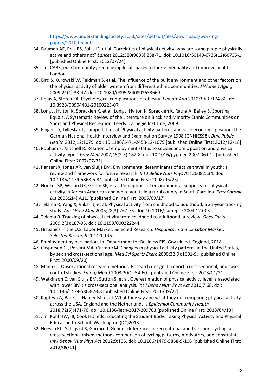[https://www.understandingsociety.ac.uk/sites/default/files/downloads/working](https://www.understandingsociety.ac.uk/sites/default/files/downloads/working-papers/2010-05.pdf)[papers/2010-05.pdf\]](https://www.understandingsociety.ac.uk/sites/default/files/downloads/working-papers/2010-05.pdf)

- 34. Bauman AE, Reis RS, Sallis JF, et al. Correlates of physical activity: why are some people physically active and others not? *Lancet* 2012;380(9838):258-71. doi: 10.1016/S0140-6736(12)60735-1 [published Online First: 2012/07/24]
- 35. . In: CABE, ed. Community green: using local spaces to tackle inequality and improve health. London.
- 36. Bird S, Kurowski W, Feldman S, et al. The influence of the built environment and other factors on the physical activity of older women from different ethnic communities. *J Women Aging* 2009;21(1):33-47. doi: 10.1080/08952840802633669
- 37. Rojas A, Storch EA. Psychological complications of obesity. *Pediatr Ann* 2010;39(3):174-80. doi: 10.3928/00904481-20100223-07
- 38. Long J, Hylton K, Spracklen K, et al. Long J, Hylton K, Spracklen K, Ratna A, Bailey S. Sporting Equals. A Systematic Review of the Literature on Black and Minority Ethnic Communities on Sport and Physical Recreation. Leeds: Carnegie Institute, 2009.
- 39. Finger JD, Tylleskar T, Lampert T, et al. Physical activity patterns and socioeconomic position: the German National Health Interview and Examination Survey 1998 (GNHIES98). *Bmc Public Health* 2012;12:1079. doi: 10.1186/1471-2458-12-1079 [published Online First: 2012/12/18]
- 40. Popham F, Mitchell R. Relation of employment status to socioeconomic position and physical activity types. *Prev Med* 2007;45(2-3):182-8. doi: 10.1016/j.ypmed.2007.06.012 [published Online First: 2007/07/31]
- 41. Panter JR, Jones AP, van Sluijs EM. Environmental determinants of active travel in youth: a review and framework for future research. *Int J Behav Nutr Phys Act* 2008;5:34. doi: 10.1186/1479-5868-5-34 [published Online First: 2008/06/25]
- 42. Hooker SP, Wilson DK, Griffin SF, et al. Perceptions of environmental supports for physical activity in African American and white adults in a rural county in South Carolina. *Prev Chronic Dis* 2005;2(4):A11. [published Online First: 2005/09/17]
- 43. Telama R, Yang X, Viikari J, et al. Physical activity from childhood to adulthood: a 21-year tracking study. *Am J Prev Med* 2005;28(3):267-73. doi: 10.1016/j.amepre.2004.12.003
- 44. Telama R. Tracking of physical activity from childhood to adulthood: a review. *Obes Facts* 2009;2(3):187-95. doi: 10.1159/000222244
- 45. Hispanics in the U.S. Labor Market: Selected Research. *Hispanics in the US Labor Market: Selected Research* 2014:1-146.
- 46. Employment by occupation. In: Department for Business EIS, Gov.uk, ed. England, 2018.
- 47. Caspersen CJ, Pereira MA, Curran KM. Changes in physical activity patterns in the United States, by sex and cross-sectional age. *Med Sci Sports Exerc* 2000;32(9):1601-9. [published Online First: 2000/09/20]
- 48. Mann CJ. Observational research methods. Research design II: cohort, cross sectional, and casecontrol studies. *Emerg Med J* 2003;20(1):54-60. [published Online First: 2003/01/21]
- 49. Watkinson C, van Sluijs EM, Sutton S, et al. Overestimation of physical activity level is associated with lower BMI: a cross-sectional analysis. *Int J Behav Nutr Phys Act* 2010;7:68. doi: 10.1186/1479-5868-7-68 [published Online First: 2010/09/22]
- 50. Kapteyn A, Banks J, Hamer M, et al. What they say and what they do: comparing physical activity across the USA, England and the Netherlands. *J Epidemiol Community Health* 2018;72(6):471-76. doi: 10.1136/jech-2017-209703 [published Online First: 2018/04/13]
- 51. . In: Kohl HW, III, Cook HD, eds. Educating the Student Body: Taking Physical Activity and Physical Education to School. Washington (DC)2013.
- 52. Heesch KC, Sahlqvist S, Garrard J. Gender differences in recreational and transport cycling: a cross-sectional mixed-methods comparison of cycling patterns, motivators, and constraints. *Int J Behav Nutr Phys Act* 2012;9:106. doi: 10.1186/1479-5868-9-106 [published Online First: 2012/09/11]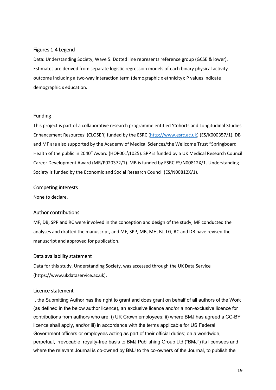# Figures 1-4 Legend

Data: Understanding Society, Wave 5. Dotted line represents reference group (GCSE & lower). Estimates are derived from separate logistic regression models of each binary physical activity outcome including a two-way interaction term (demographic x ethnicity); P values indicate demographic x education.

# Funding

This project is part of a collaborative research programme entitled 'Cohorts and Longitudinal Studies Enhancement Resources' (CLOSER) funded by the ESRC [\(http://www.esrc.ac.uk\)](http://www.esrc.ac.uk/) (ES/K000357/1). DB and MF are also supported by the Academy of Medical Sciences/the Wellcome Trust "Springboard Health of the public in 2040" Award (HOP001\1025). SPP is funded by a UK Medical Research Council Career Development Award (MR/P020372/1). MB is funded by ESRC ES/N00812X/1. Understanding Society is funded by the [Economic and Social Research Council](http://www.esrc.ac.uk/) (ES/N00812X/1).

# Competing interests

None to declare.

# Author contributions

MF, DB, SPP and RC were involved in the conception and design of the study, MF conducted the analyses and drafted the manuscript, and MF, SPP, MB, MH, BJ, LG, RC and DB have revised the manuscript and approved for publication.

# Data availability statement

Data for this study, Understanding Society, was accessed through the UK Data Service (https://www.ukdataservice.ac.uk).

# Licence statement

I, the Submitting Author has the right to grant and does grant on behalf of all authors of the Work (as defined in the below author licence), an exclusive licence and/or a non-exclusive licence for contributions from authors who are: i) UK Crown employees; ii) where BMJ has agreed a CC-BY licence shall apply, and/or iii) in accordance with the terms applicable for US Federal Government officers or employees acting as part of their official duties; on a worldwide, perpetual, irrevocable, royalty-free basis to BMJ Publishing Group Ltd ("BMJ") its licensees and where the relevant Journal is co-owned by BMJ to the co-owners of the Journal, to publish the